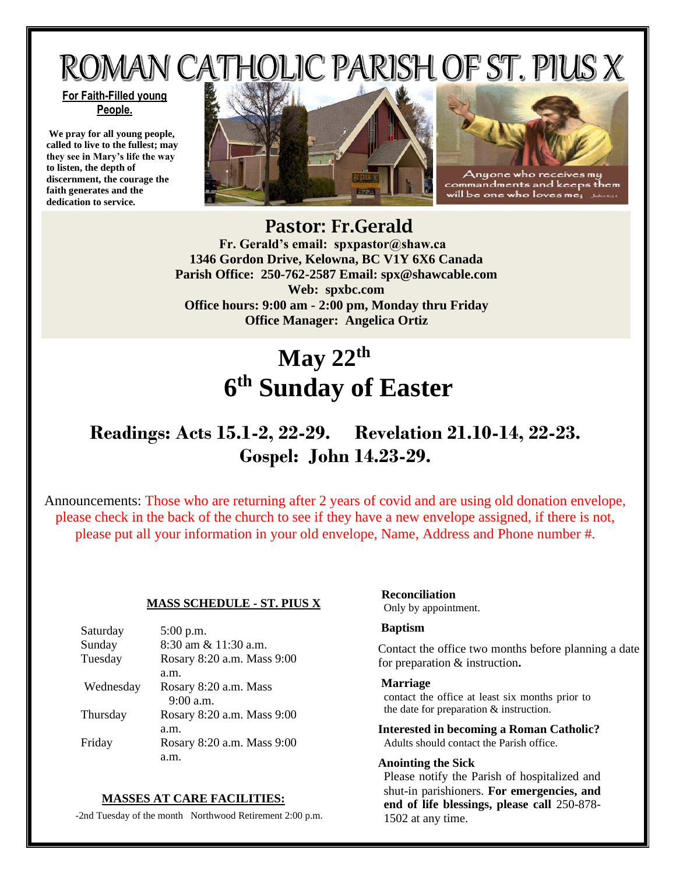# ROMAN CATHOLIC PARISH OF ST. PIUS X

#### **For Faith-Filled young People.**

**We pray for all young people, called to live to the fullest; may they see in Mary's life the way to listen, the depth of discernment, the courage the faith generates and the dedication to service.**





ommandments and ccps will be one who loves me

## Pastor: Fr.Gerald  **Fr. Gerald's email: spxpastor@shaw.ca 1346 Gordon Drive, Kelowna, BC V1Y 6X6 Canada Parish Office: 250-762-2587 Email: [spx@shawcable.com](mailto:spx@shawcable.com) Web: spxbc.com Office hours: 9:00 am - 2:00 pm, Monday thru Friday Office Manager: Angelica Ortiz**

# **May 22th 6 th Sunday of Easter**

# **Readings: Acts 15.1-2, 22-29. Revelation 21.10-14, 22-23. Gospel: John 14.23-29.**

Announcements: Those who are returning after 2 years of covid and are using old donation envelope, please check in the back of the church to see if they have a new envelope assigned, if there is not, please put all your information in your old envelope, Name, Address and Phone number #.

#### **MASS SCHEDULE - ST. PIUS X**

| Saturday  | $5:00$ p.m.                |
|-----------|----------------------------|
| Sunday    | 8:30 am & 11:30 a.m.       |
| Tuesday   | Rosary 8:20 a.m. Mass 9:00 |
|           | a.m.                       |
| Wednesday | Rosary 8:20 a.m. Mass      |
|           | $9:00$ a.m.                |
| Thursday  | Rosary 8:20 a.m. Mass 9:00 |
|           | a.m.                       |
| Friday    | Rosary 8:20 a.m. Mass 9:00 |
|           |                            |

#### **MASSES AT CARE FACILITIES:**

-2nd Tuesday of the month Northwood Retirement 2:00 p.m.

### **Reconciliation**

Only by appointment.

#### **Baptism**

Contact the office two months before planning a date for preparation & instruction**.**

#### **Marriage**

contact the office at least six months prior to the date for preparation & instruction.

**Interested in becoming a Roman Catholic?** Adults should contact the Parish office.

#### **Anointing the Sick**

Please notify the Parish of hospitalized and shut-in parishioners. **For emergencies, and end of life blessings, please call** 250-878- 1502 at any time.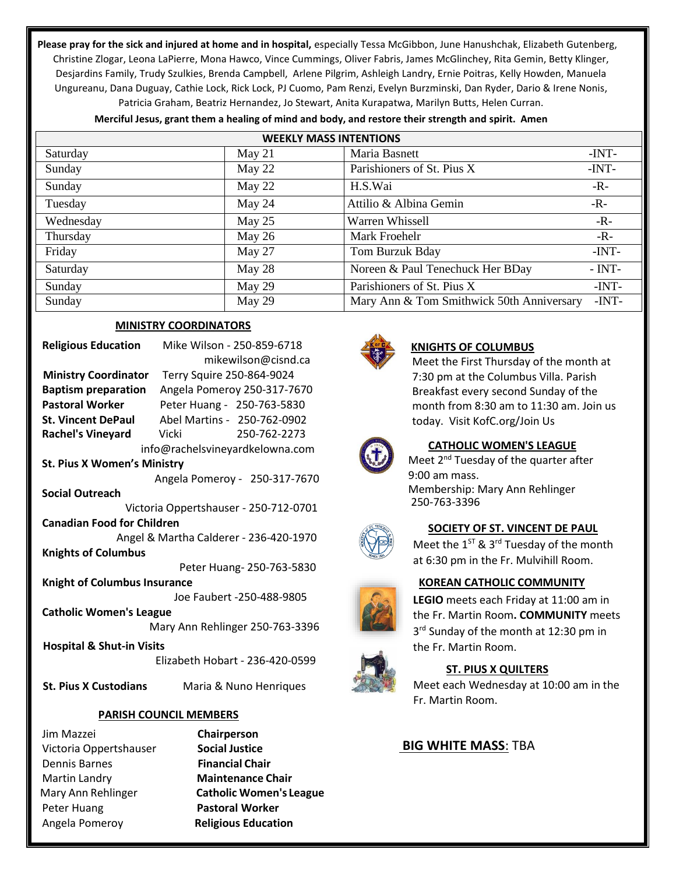**Please pray for the sick and injured at home and in hospital,** especially Tessa McGibbon, June Hanushchak, Elizabeth Gutenberg, Christine Zlogar, Leona LaPierre, Mona Hawco, Vince Cummings, Oliver Fabris, James McGlinchey, Rita Gemin, Betty Klinger, Desjardins Family, Trudy Szulkies, Brenda Campbell, Arlene Pilgrim, Ashleigh Landry, Ernie Poitras, Kelly Howden, Manuela Ungureanu, Dana Duguay, Cathie Lock, Rick Lock, PJ Cuomo, Pam Renzi, Evelyn Burzminski, Dan Ryder, Dario & Irene Nonis, Patricia Graham, Beatriz Hernandez, Jo Stewart, Anita Kurapatwa, Marilyn Butts, Helen Curran.

| <b>WEEKLY MASS INTENTIONS</b> |          |                                           |          |  |
|-------------------------------|----------|-------------------------------------------|----------|--|
| Saturday                      | May $21$ | Maria Basnett                             | -INT-    |  |
| Sunday                        | May 22   | Parishioners of St. Pius X                | $-INT-$  |  |
| Sunday                        | May 22   | H.S.Wai                                   | $-R -$   |  |
| Tuesday                       | May 24   | Attilio & Albina Gemin                    | $-R-$    |  |
| Wednesday                     | May 25   | Warren Whissell                           | $-R -$   |  |
| Thursday                      | May $26$ | Mark Froehelr                             | $-R -$   |  |
| Friday                        | May 27   | Tom Burzuk Bday                           | $-INT-$  |  |
| Saturday                      | May 28   | Noreen & Paul Tenechuck Her BDay          | $- INT-$ |  |
| Sunday                        | May 29   | Parishioners of St. Pius X                | $-INT-$  |  |
| Sunday                        | May 29   | Mary Ann & Tom Smithwick 50th Anniversary | -INT-    |  |

**Merciful Jesus, grant them a healing of mind and body, and restore their strength and spirit. Amen**

#### **MINISTRY COORDINATORS**

| <b>Religious Education</b>             | Mike Wilson - 250-859-6718                     |  |
|----------------------------------------|------------------------------------------------|--|
|                                        | mikewilson@cisnd.ca                            |  |
|                                        | Ministry Coordinator Terry Squire 250-864-9024 |  |
| <b>Baptism preparation</b>             | Angela Pomeroy 250-317-7670                    |  |
| Pastoral Worker                        | Peter Huang - 250-763-5830                     |  |
| <b>St. Vincent DePaul</b>              | Abel Martins - 250-762-0902                    |  |
| Rachel's Vineyard Vicki                | 250-762-2273                                   |  |
| info@rachelsvineyardkelowna.com        |                                                |  |
| <b>St. Pius X Women's Ministry</b>     |                                                |  |
|                                        | Angela Pomeroy - 250-317-7670                  |  |
| <b>Social Outreach</b>                 |                                                |  |
| Victoria Oppertshauser - 250-712-0701  |                                                |  |
| <b>Canadian Food for Children</b>      |                                                |  |
| Angel & Martha Calderer - 236-420-1970 |                                                |  |
| <b>Knights of Columbus</b>             |                                                |  |
| Peter Huang- 250-763-5830              |                                                |  |
| <b>Knight of Columbus Insurance</b>    |                                                |  |
| Joe Faubert -250-488-9805              |                                                |  |
| <b>Catholic Women's League</b>         |                                                |  |
| Mary Ann Rehlinger 250-763-3396        |                                                |  |
| <b>Hospital &amp; Shut-in Visits</b>   |                                                |  |
|                                        | Elizabeth Hobart - 236-420-0599                |  |
|                                        |                                                |  |

 **St. Pius X Custodians** Maria & Nuno Henriques

#### **PARISH COUNCIL MEMBERS**

Jim Mazzei **Chairperson**  Victoria Oppertshauser **Social Justice** Dennis Barnes **Financial Chair**  Martin Landry **Maintenance Chair**  Peter Huang **Pastoral Worker**  Angela Pomeroy **Religious Education**

Mary Ann Rehlinger **Catholic Women's League**



#### **KNIGHTS OF COLUMBUS**

Meet the First Thursday of the month at 7:30 pm at the Columbus Villa. Parish Breakfast every second Sunday of the month from 8:30 am to 11:30 am. Join us today. Visit KofC.org/Join Us



#### **CATHOLIC WOMEN'S LEAGUE**

Meet 2<sup>nd</sup> Tuesday of the quarter after 9:00 am mass. Membership: Mary Ann Rehlinger 250-763-3396



#### **SOCIETY OF ST. VINCENT DE PAUL**

Meet the  $1^{ST}$  & 3<sup>rd</sup> Tuesday of the month at 6:30 pm in the Fr. Mulvihill Room.

#### **KOREAN CATHOLIC COMMUNITY**

**LEGIO** meets each Friday at 11:00 am in the Fr. Martin Room**. COMMUNITY** meets 3<sup>rd</sup> Sunday of the month at 12:30 pm in the Fr. Martin Room.



#### **ST. PIUS X QUILTERS**

Meet each Wednesday at 10:00 am in the Fr. Martin Room.

#### **BIG WHITE MASS**: TBA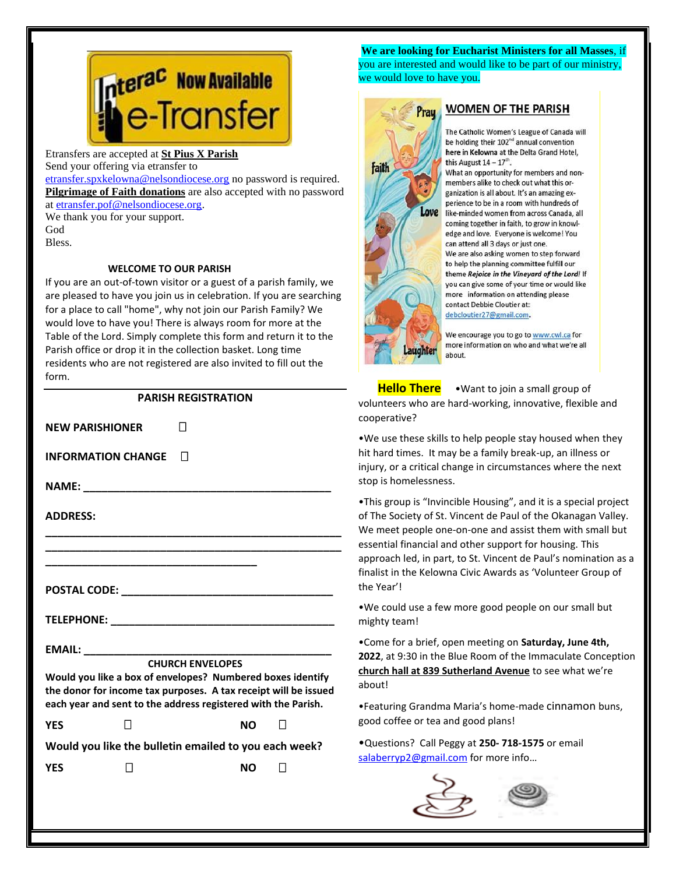# **nter<sup>ac</sup> Now Available<br>Ne-Transfer**

Etransfers are accepted at **St Pius X Parish** Send your offering via etransfer to

[etransfer.spxkelowna@nelsondiocese.org](file:///C:/Users/SPXAdmin/Desktop/Bulletin/Bulletins%202022/etransfer.spxkelowna@nelsondiocese.org) no password is required. **Pilgrimage of Faith donations** are also accepted with no password at [etransfer.pof@nelsondiocese.org.](file:///C:/Users/SPXAdmin/Desktop/Bulletin/Bulletins%202022/etransfer.pof@nelsondiocese.org)

We thank you for your support. God Bless.

#### **WELCOME TO OUR PARISH**

If you are an out-of-town visitor or a guest of a parish family, we are pleased to have you join us in celebration. If you are searching for a place to call "home", why not join our Parish Family? We would love to have you! There is always room for more at the Table of the Lord. Simply complete this form and return it to the Parish office or drop it in the collection basket. Long time residents who are not registered are also invited to fill out the form.

#### **PARISH REGISTRATION**

| <b>NEW PARISHIONER</b>                                |                                                                                                                                  |  |  |
|-------------------------------------------------------|----------------------------------------------------------------------------------------------------------------------------------|--|--|
| <b>INFORMATION CHANGE</b>                             | $\mathsf{L}$                                                                                                                     |  |  |
|                                                       |                                                                                                                                  |  |  |
| <b>ADDRESS:</b>                                       |                                                                                                                                  |  |  |
|                                                       |                                                                                                                                  |  |  |
|                                                       |                                                                                                                                  |  |  |
|                                                       |                                                                                                                                  |  |  |
|                                                       |                                                                                                                                  |  |  |
|                                                       |                                                                                                                                  |  |  |
|                                                       | <b>CHURCH ENVELOPES</b>                                                                                                          |  |  |
|                                                       | Would you like a box of envelopes? Numbered boxes identify                                                                       |  |  |
|                                                       | the donor for income tax purposes. A tax receipt will be issued<br>each year and sent to the address registered with the Parish. |  |  |
| <b>YFS</b>                                            | <b>NO</b>                                                                                                                        |  |  |
| Would you like the bulletin emailed to you each week? |                                                                                                                                  |  |  |
| <b>YFS</b>                                            | NΟ                                                                                                                               |  |  |

 you are interested and would like to be part of our ministry, **We are looking for Eucharist Ministers for all Masses**, if we would love to have you.



#### **WOMEN OF THE PARISH**

The Catholic Women's League of Canada will be holding their 102<sup>nd</sup> annual convention here in Kelowna at the Delta Grand Hotel, this August  $14 - 17$ <sup>th</sup>.

What an opportunity for members and nonmembers alike to check out what this organization is all about. It's an amazing experience to be in a room with hundreds of like-minded women from across Canada, all coming together in faith, to grow in knowledge and love. Everyone is welcome! You can attend all 3 days or just one. We are also asking women to step forward to help the planning committee fulfill our theme Rejoice in the Vineyard of the Lord! If you can give some of your time or would like more information on attending please contact Debbie Cloutier at: debcloutier27@gmail.com.

We encourage you to go to www.cwl.ca for more information on who and what we're all about.

 **Hello There** •Want to join a small group of volunteers who are hard-working, innovative, flexible and cooperative?

 hit hard times. It may be a family break-up, an illness or intend times. Termay be a ramily break up, an inness or<br>injury, or a critical change in circumstances where the next •We use these skills to help people stay housed when they stop is homelessness.

•This group is "Invincible Housing", and it is a special project of The Society of St. Vincent de Paul of the Okanagan Valley. We meet people one-on-one and assist them with small but essential financial and other support for housing. This approach led, in part, to St. Vincent de Paul's nomination as a finalist in the Kelowna Civic Awards as 'Volunteer Group of the Year'!

•We could use a few more good people on our small but mighty team!

•Come for a brief, open meeting on **Saturday, June 4th, 2022**, at 9:30 in the Blue Room of the Immaculate Conception **church hall at 839 Sutherland Avenue** to see what we're about!

•Featuring Grandma Maria's home-made cinnamon buns, good coffee or tea and good plans!

•Questions? Call Peggy at **250- 718-1575** or email [salaberryp2@gmail.com](salaberryp2@gmail.com%20) for more info...



l